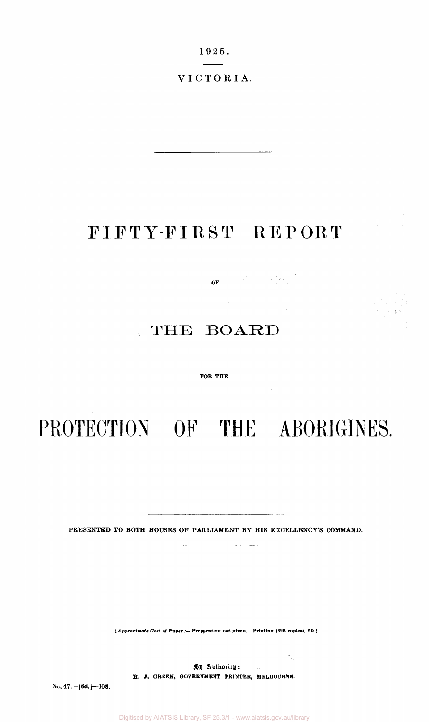19 2 5.  $\overline{\phantom{a}}$ 

VICTORIA .

### FIFTY-FIRST REPORT

 $\mathbf{OF} = \left\{ \begin{array}{ll} \mathbb{E}^{1,1,1} \left( \mathbb{E} \right) & \mathbb{E}^{1,1,1} \left( \mathbb{E} \right) \\ \mathbb{E}^{1,1,1} \left( \mathbb{E} \right) & \mathbb{E}^{1,1,1} \left( \mathbb{E} \right) \end{array} \right\}$ 

 $\label{eq:2.1} \frac{1}{2} \int_{\mathbb{R}^3} \frac{1}{\sqrt{2}} \left( \frac{1}{2} \sum_{i=1}^3 \frac{1}{2} \sum_{j=1}^3 \frac{1}{2} \sum_{j=1}^3 \frac{1}{2} \sum_{j=1}^3 \frac{1}{2} \sum_{j=1}^3 \frac{1}{2} \sum_{j=1}^3 \frac{1}{2} \sum_{j=1}^3 \frac{1}{2} \sum_{j=1}^3 \frac{1}{2} \sum_{j=1}^3 \frac{1}{2} \sum_{j=1}^3 \frac{1}{2} \sum_{j=1}^3 \frac{$ 

 $\mathcal{A}^{\mathcal{A}}_{\mathcal{A}^{\mathcal{A}}_{\mathcal{A}^{\mathcal{A}}_{\mathcal{A}}}}$ 

 $\mathcal{A}_{\mathbf{y}} \rightarrow \left\{ \mathcal{C}_{\mathbf{y}}\right\}$ 一下 蛇造山

 $\sim 10^7$ 

### THE BOARD

#### **FOR THE**

# PROTECTION OF THE ABORIGINES.

PRESENTED TO BOTH HOUSES OF PARLIAMENT BY HIS EXCELLENCY'S COMMAND.

*[Approximate Cost of Paper:***—Preparation not given. Printing); (825 copies), £9.1** 

*By Authority***: H. J. GREEN, GOVERNMENT PRINTER, MELBOURNE.** 

No. 47.  $-16d$ .  $-108$ .

Digitised by AIATSIS Library, SF 25.3/1 - www.aiatsis.gov.au/library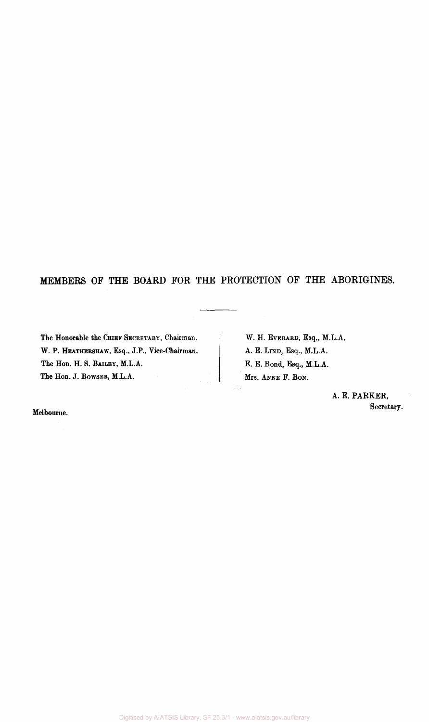#### MEMBERS OF THE BOARD FOR THE PROTECTION OF THE ABORIGINES.

 $\overline{a}$ 

The Honorable the CHIEF SECRETARY, Chairman. W. P. HEATHERSHAW, Esq., J.P., Vice-Chairman. The Hon. H. S. BAILEY, M.L.A. The Hon. J. BOWSER, M.L.A.

W. H. EVERARD, Esq., M.L.A. A. E. LIND, Esq., M.L.A. E. E. Bond, Esq., M.L.A. Mrs. ANNE F. BON.

> A. E. PARKER, Secretary.

Melbourne.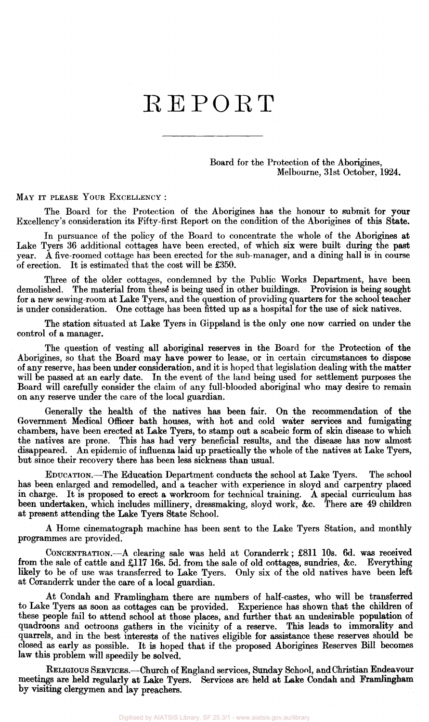## REPORT

Board for the Protection of the Aborigines, Melbourne, 31st October, 1924.

MAY IT PLEASE YOUR EXCELLENCY :

The Board for the Protection of the Aborigines has the honour to submit for your Excellency's consideration its Fifty-first Report on the condition of the Aborigines of this State.

In pursuance of the policy of the Board to concentrate the whole of the Aborigines at Lake Tyers 36 additional cottages have been erected, of which six were built during the past year. A five-roomed cottage has been erected for the sub-manager, and a dining hall is in course A five-roomed cottage has been erected for the sub-manager, and a dining hall is in course of erection. It is estimated that the cost will be £350.

Three of the older cottages, condemned by the Public Works Department, have been demolished. The material from these is being used in other buildings. Provision is being sought for a new sewing-room at Lake Tyers, and the question of providing quarters for the school teacher is under consideration. One cottage has been fitted up as a hospital for the use of sick natives.

The station situated at Lake Tyers in Gippsland is the only one now carried on under the control of a manager.

The question of vesting all aboriginal reserves in the Board for the Protection of the Aborigines, so that the Board may have power to lease, or in certain circumstances to dispose of any reserve, has been under consideration, and it is hoped that legislation dealing with the matter will be passed at an early date. In the event of the land being used for settlement purposes the Board will carefully consider the claim of any full-blooded aboriginal who may desire to remain on any reserve under the care of the local guardian.

Generally the health of the natives has been fair. On the recommendation of the Government Medical Officer bath houses, with hot and cold water services and fumigating chambers, have been erected at Lake Tyers, to stamp out a scabeic form of skin disease to which the natives are prone. This has had very beneficial results, and the disease has now almost disappeared. An epidemic of influenza laid up practically the whole of the natives at Lake Tyers, but since their recovery there has been less sickness than usual.

EDUCATION.—The Education Department conducts the school at Lake Tyers. The school has been enlarged and remodelled, and a teacher with experience in sloyd and carpentry placed in charge. It is proposed to erect a workroom for technical training. A special curriculum has been undertaken, which includes millinery, dressmaking, sloyd work, &c. There are 49 children at present attending the Lake Tyers State School.

A Home cinematograph machine has been sent to the Lake Tyers Station, and monthly programmes are provided.

CONCENTRATION.—-A clearing sale was held at Coranderrk; £811 10s. 6d. was received from the sale of cattle and £117 16s. 5d. from the sale of old cottages, sundries, &c. Everything likely to be of use was transferred to Lake Tyers. Only six of the old natives have been left at Coranderrk under the care of a local guardian.

At Condah and Framlingham there are numbers of half-castes, who will be transferred to Lake Tyers as soon as cottages can be provided. Experience has shown that the children of these people fail to attend school at those places, and further that an undesirable population of quadroons and octroons gathers in the vicinity of a reserve. This leads to immorality and quarrels, and in the best interests of the natives eligible for assistance these reserves should be closed as early as possible. It is hoped that if the proposed Aborigines Reserves Bill becomes law this problem will speedily be solved.

RELIGIOUS SERVICES.—Church of England services, Sunday School, and Christian Endeavour meetings are held regularly at Lake Tyers. Services are held at Lake Condah and Framlingham by visiting clergymen and lay preachers.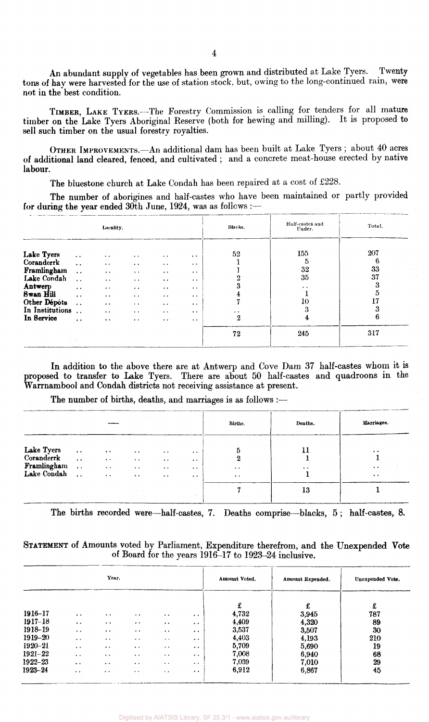An abundant supply of vegetables has been grown and distributed at Lake Tyers. Twenty tons of hay were harvested for the use of station stock, but, owing to the long-continued rain, were not in the best condition.

TIMBER, LAKE TYERS.--The Forestry Commission is calling for tenders for all mature timber on the Lake Tyers Aboriginal Reserve (both for hewing and milling). It is proposed to sell such timber on the usual forestry royalties.

OTHER IMPROVEMENTS.—An additional dam has been built at Lake Tyers ; about 40 acres of additional land cleared, fenced, and cultivated ; and a concrete meat-house erected by native labour.

The bluestone church at Lake Condah has been repaired at a cost of £228.

The number of aborigines and half-castes who have been maintained or partly provided for during the year ended 30th June, 1924, was as follows :-

| Locality.                                                                                                                              |                                                                                                                                                                                    |                                                                                                                                                                                                                       |                                                                                                                                                                                                       |                                                                                                                                                                                                        |                                                                                                                                                                                                 | Blacks.                         | Half-castes and<br>Under.                                   | Total.                                         |
|----------------------------------------------------------------------------------------------------------------------------------------|------------------------------------------------------------------------------------------------------------------------------------------------------------------------------------|-----------------------------------------------------------------------------------------------------------------------------------------------------------------------------------------------------------------------|-------------------------------------------------------------------------------------------------------------------------------------------------------------------------------------------------------|--------------------------------------------------------------------------------------------------------------------------------------------------------------------------------------------------------|-------------------------------------------------------------------------------------------------------------------------------------------------------------------------------------------------|---------------------------------|-------------------------------------------------------------|------------------------------------------------|
| Lake Tyers<br>Coranderrk<br>Framlingham<br>Lake Condah<br>Antwerp<br><b>Swan Hill</b><br>Other Dépôts<br>In Institutions<br>In Service | $\ddotsc$<br>$\ddot{\phantom{a}}$<br>$\ddot{\phantom{a}}$ .<br>$\ddot{\phantom{a}}$<br>$\ddot{\phantom{1}}$<br>$\bullet$ $\bullet$<br>$\ddot{\phantom{a}}$<br>$\ddot{\phantom{0}}$ | $\ddot{\phantom{a}}$<br>$\ddot{\phantom{1}}$<br>$\cdot$ .<br>$\bullet$ $\bullet$<br>$\bullet$ . $\bullet$<br>$\cdot$ .<br>$\bullet$ $\bullet$<br>$\ddot{\phantom{a}}$<br>$\bullet\hspace{0.4mm}\bullet\hspace{0.4mm}$ | $\ddot{\phantom{1}}$<br>$\ddot{\phantom{0}}$<br>$\bullet$ . $\bullet$<br>$\ddot{\phantom{0}}$<br>$\bullet$ . $\bullet$<br>$\cdot$ .<br>$\ddot{\phantom{1}}$<br>$\bullet$ $\bullet$<br>$\cdot$ $\cdot$ | $\ddot{\phantom{1}}$<br>$\ddot{\phantom{0}}$<br>$\cdot$ .<br>$\bullet$ $\bullet$<br>$\bullet$ . $\bullet$<br>$\ddot{\phantom{0}}$<br>$\bullet$ $\bullet$<br>$\bullet$ $\bullet$<br>$\bullet$ $\bullet$ | $\bullet\hspace{0.4mm}\bullet\hspace{0.4mm}$<br>$\cdot$<br>$\bullet$ $\bullet$<br>$\cdot$ .<br>$\ddot{\phantom{a}}$<br>$\cdot$ .<br>$\bullet$ $\bullet$<br>$\bullet$ $\bullet$<br>$\sim$ $\sim$ | 52<br>$\ddot{\phantom{1}}$<br>2 | 155<br>5<br>32<br>35<br>$\bullet$ $\bullet$<br>10<br>3<br>4 | 207<br>6<br>33<br>37<br>3<br>5<br>17<br>3<br>6 |
| control of the control                                                                                                                 |                                                                                                                                                                                    |                                                                                                                                                                                                                       |                                                                                                                                                                                                       |                                                                                                                                                                                                        |                                                                                                                                                                                                 | 72                              | 245                                                         | 317                                            |

In addition to the above there are at Antwerp and Cove Dam 37 half-castes whom it is proposed to transfer to Lake Tyers. There are about 50 half-castes and quadroons in the Warrnambool and Condah districts not receiving assistance at present.

The number of births, deaths, and marriages is as follows :—

|                                                        |                                                                                  |                                                                                    |                                                                         |                                                                                           |                                                                                                                     | Births.                                                | Deaths.         | Marriages.                                                                |
|--------------------------------------------------------|----------------------------------------------------------------------------------|------------------------------------------------------------------------------------|-------------------------------------------------------------------------|-------------------------------------------------------------------------------------------|---------------------------------------------------------------------------------------------------------------------|--------------------------------------------------------|-----------------|---------------------------------------------------------------------------|
| Lake Tyers<br>Coranderrk<br>Framlingham<br>Lake Condah | $\bullet$ $\bullet$<br>$\ddot{\phantom{a}}$<br>$\ddotsc$<br>$\ddot{\phantom{a}}$ | $\bullet$ $\bullet$<br>$\sim$ $\sim$<br>$\bullet$ $\bullet$<br>$\bullet$ $\bullet$ | $\cdot$<br>$\sim$ $\sim$<br>$\ddot{\phantom{1}}$<br>$\bullet$ $\bullet$ | $\bullet$ $\bullet$<br>$\ddot{\phantom{0}}$<br>$\bullet$ $\bullet$<br>$\bullet$ $\bullet$ | $\bullet$ $\bullet$<br>$\bullet$ $\bullet$<br>$\bullet\hspace{0.4mm}\bullet\hspace{0.4mm}$<br>ALC: YES<br>$\bullet$ | 5<br>2<br>$\bullet$ $\bullet$<br>$\bullet$ . $\bullet$ | 11<br>$\cdot$ . | $\ddot{\phantom{1}}$<br>$\ddot{\phantom{0}}$<br>$\bullet\hspace{0.4mm}$ . |
|                                                        |                                                                                  |                                                                                    |                                                                         |                                                                                           |                                                                                                                     |                                                        | 13              |                                                                           |

The births recorded were—half-castes, 7. Deaths comprise—blacks, 5 ; half-castes, 8.

#### STATEMENT of Amounts voted by Parliament, Expenditure therefrom, and the Unexpended Vote of Board for the years 1916-17 to 1923-24 inclusive.

|             |                                              | Үеаг.                                        |                       |                       |                       | Amount Voted. | Amount Expended. | Unexpended Vote. |
|-------------|----------------------------------------------|----------------------------------------------|-----------------------|-----------------------|-----------------------|---------------|------------------|------------------|
|             |                                              |                                              |                       |                       |                       | £             | £                | £                |
| 1916-17     | $\cdot$                                      | $\cdot$ .                                    | $\bullet$ $\bullet$   | $\ddot{\phantom{1}}$  | $\bullet$ . $\bullet$ | 4,732         | 3,945            | 787              |
| $1917 - 18$ | $\bullet\hspace{0.4mm}\bullet\hspace{0.4mm}$ | $\bullet$ $\bullet$                          | $\bullet$ $\bullet$   | $\cdot$ .             | $\cdot$ $\cdot$       | 4,409         | 4,320            | 89               |
| 1918-19     | $\bullet$ $\bullet$                          | $\bullet$ . $\bullet$                        | $\bullet$ . $\bullet$ | $\bullet$ $\bullet$   | $\ddot{\phantom{a}}$  | 3,537         | 3,507            | 30               |
| 1919-20     | $\bullet\quad \bullet$                       | $\bullet\hspace{0.4mm}\bullet\hspace{0.4mm}$ | $\bullet$ $\bullet$   | $\bullet$ $\bullet$   | $\bullet\bullet$      | 4,403         | 4,193            | 210              |
| $1920 - 21$ | $\cdot$ $\cdot$                              | $\bullet\ \bullet$                           | $\cdot$ .             | $\cdot$ .             | $\cdot$ .             | 5,709         | 5,690            | 19               |
| $1921 - 22$ | $\bullet$ $\bullet$                          | $\bullet$ $\bullet$                          | $\bullet$ $\bullet$   | $\ddot{\phantom{1}}$  | $\cdot$ $\cdot$       | 7,008         | 6,940            | 68               |
| 1922–23     | $\cdot$ .                                    | $\ddot{\phantom{0}}$                         | $\cdot$ .             | $\cdots$              | $\cdot$               | 7,039         | 7,010            | 29               |
| 1923-24     | $\bullet\hspace{0.4mm}\bullet\hspace{0.4mm}$ | $\bullet\quad\bullet\quad$                   | $\bullet$ .           | $\bullet$ . $\bullet$ | $\cdot$ $\cdot$       | 6,912         | 6,867            | 45               |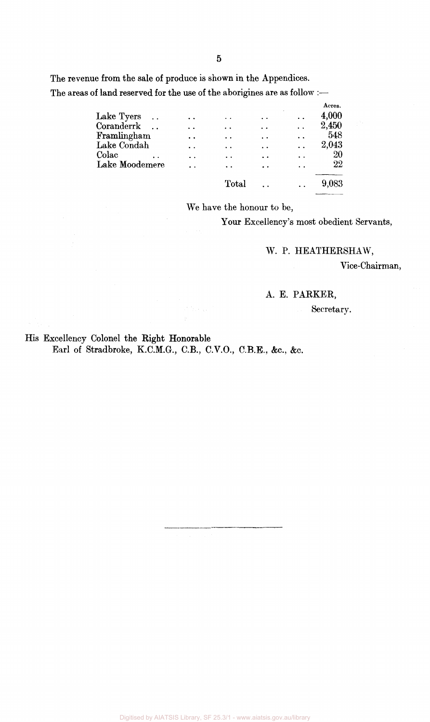The revenue from the sale of produce is shown in the Appendices. The areas of land reserved for the use of the aborigines are as follow :-

| 4,000  |
|--------|
| 2,450  |
| 548    |
| 2,043  |
| 20     |
| $22\,$ |
| 9,083  |
|        |

We have the honour to be,

Your Excellency's most obedient Servants,

W. P. HEATHERSHAW,

Vice-Chairman,

#### A. E. PARKER,

Secretary.

His Excellency Colonel the Right Honorable Earl of Stradbroke, K.C.M.G., C.B., C.V.O., C.B.E., &c, &c.